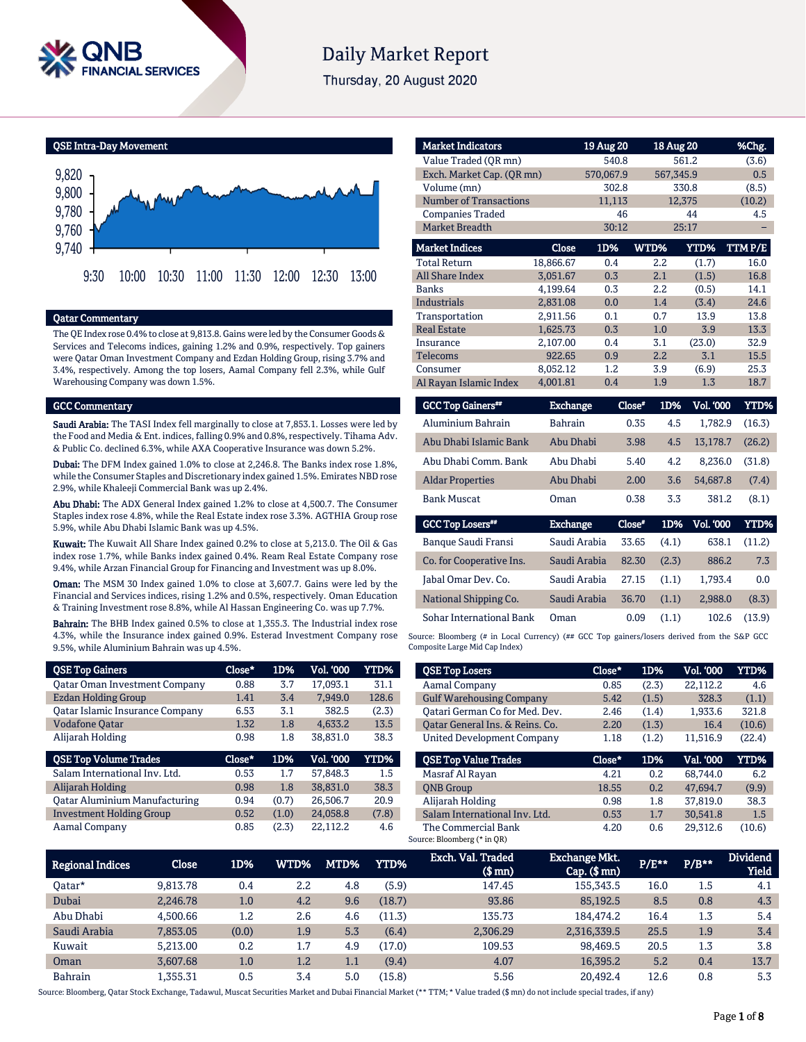

# **Daily Market Report**

Thursday, 20 August 2020

QSE Intra-Day Movement



## Qatar Commentary

The QE Index rose 0.4% to close at 9,813.8. Gains were led by the Consumer Goods & Services and Telecoms indices, gaining 1.2% and 0.9%, respectively. Top gainers were Qatar Oman Investment Company and Ezdan Holding Group, rising 3.7% and 3.4%, respectively. Among the top losers, Aamal Company fell 2.3%, while Gulf Warehousing Company was down 1.5%.

## GCC Commentary

Saudi Arabia: The TASI Index fell marginally to close at 7,853.1. Losses were led by the Food and Media & Ent. indices, falling 0.9% and 0.8%, respectively. Tihama Adv. & Public Co. declined 6.3%, while AXA Cooperative Insurance was down 5.2%.

Dubai: The DFM Index gained 1.0% to close at 2,246.8. The Banks index rose 1.8%, while the Consumer Staples and Discretionary index gained 1.5%. Emirates NBD rose 2.9%, while Khaleeji Commercial Bank was up 2.4%.

Abu Dhabi: The ADX General Index gained 1.2% to close at 4,500.7. The Consumer Staples index rose 4.8%, while the Real Estate index rose 3.3%. AGTHIA Group rose 5.9%, while Abu Dhabi Islamic Bank was up 4.5%.

Kuwait: The Kuwait All Share Index gained 0.2% to close at 5,213.0. The Oil & Gas index rose 1.7%, while Banks index gained 0.4%. Ream Real Estate Company rose 9.4%, while Arzan Financial Group for Financing and Investment was up 8.0%.

Oman: The MSM 30 Index gained 1.0% to close at 3,607.7. Gains were led by the Financial and Services indices, rising 1.2% and 0.5%, respectively. Oman Education & Training Investment rose 8.8%, while Al Hassan Engineering Co. was up 7.7%.

Bahrain: The BHB Index gained 0.5% to close at 1,355.3. The Industrial index rose 4.3%, while the Insurance index gained 0.9%. Esterad Investment Company rose 9.5%, while Aluminium Bahrain was up 4.5%.

| <b>QSE Top Gainers</b>                 | Close* | 1D%   | Vol. '000 | YTD%  |
|----------------------------------------|--------|-------|-----------|-------|
| <b>Qatar Oman Investment Company</b>   | 0.88   | 3.7   | 17.093.1  | 31.1  |
| <b>Ezdan Holding Group</b>             | 1.41   | 3.4   | 7.949.0   | 128.6 |
| <b>Qatar Islamic Insurance Company</b> | 6.53   | 3.1   | 382.5     | (2.3) |
| <b>Vodafone Qatar</b>                  | 1.32   | 1.8   | 4.633.2   | 13.5  |
| Alijarah Holding                       | 0.98   | 1.8   | 38.831.0  | 38.3  |
|                                        |        |       |           |       |
| <b>QSE Top Volume Trades</b>           | Close* | 1D%   | Vol. '000 | YTD%  |
| Salam International Inv. Ltd.          | 0.53   | 1.7   | 57.848.3  | 1.5   |
| Alijarah Holding                       | 0.98   | 1.8   | 38.831.0  | 38.3  |
| <b>Qatar Aluminium Manufacturing</b>   | 0.94   | (0.7) | 26,506.7  | 20.9  |
| <b>Investment Holding Group</b>        | 0.52   | (1.0) | 24.058.8  | (7.8) |

| <b>Market Indicators</b>      |                 | 19 Aug 20 |               | 18 Aug 20        | %Chg.         |
|-------------------------------|-----------------|-----------|---------------|------------------|---------------|
| Value Traded (OR mn)          |                 | 540.8     |               | 561.2            | (3.6)         |
| Exch. Market Cap. (QR mn)     |                 | 570,067.9 |               | 567,345.9        | 0.5           |
| Volume (mn)                   |                 | 302.8     |               | 330.8            | (8.5)         |
| <b>Number of Transactions</b> |                 | 11,113    |               | 12,375           | (10.2)        |
| <b>Companies Traded</b>       |                 | 46        |               | 44               | 4.5           |
| <b>Market Breadth</b>         |                 | 30:12     |               | 25:17            |               |
| <b>Market Indices</b>         | Close           | 1D%       | <b>WTD%</b>   | YTD%             | <b>TTMP/E</b> |
| <b>Total Return</b>           | 18,866.67       | 0.4       | 2.2           | (1.7)            | 16.0          |
| <b>All Share Index</b>        | 3.051.67        | 0.3       | 2.1           | (1.5)            | 16.8          |
| <b>Banks</b>                  | 4.199.64        | 0.3       | 2.2           | (0.5)            | 14.1          |
| <b>Industrials</b>            | 2,831.08        | 0.0       | 1.4           | (3.4)            | 24.6          |
| Transportation                | 2.911.56        | 0.1       | 0.7           | 13.9             | 13.8          |
| <b>Real Estate</b>            | 1,625.73        | 0.3       | 1.0           | 3.9              | 13.3          |
| Insurance                     | 2,107.00        | 0.4       | 3.1           | (23.0)           | 32.9          |
| Telecoms                      | 922.65          | 0.9       | 2.2           | 3.1              | 15.5          |
| Consumer                      | 8,052.12        | 1.2       | 3.9           | (6.9)            | 25.3          |
| Al Rayan Islamic Index        | 4,001.81        | 0.4       | 1.9           | 1.3              | 18.7          |
| <b>GCC Top Gainers</b> "      | <b>Exchange</b> |           | Close*<br>1D% | <b>Vol. '000</b> | <b>YTD%</b>   |

| <b>OCC TOD OGTICIS</b>  | <b>LAURIEC</b>  | чиж    | 11/0 | vu. uuu   | .      |
|-------------------------|-----------------|--------|------|-----------|--------|
| Aluminium Bahrain       | <b>Bahrain</b>  | 0.35   | 4.5  | 1.782.9   | (16.3) |
| Abu Dhabi Islamic Bank  | Abu Dhabi       | 3.98   | 4.5  | 13.178.7  | (26.2) |
| Abu Dhabi Comm. Bank    | Abu Dhabi       | 5.40   | 4.2  | 8.236.0   | (31.8) |
| <b>Aldar Properties</b> | Abu Dhabi       | 2.00   | 3.6  | 54,687.8  | (7.4)  |
| <b>Bank Muscat</b>      | Oman            | 0.38   | 3.3  | 381.2     | (8.1)  |
| <b>GCC Top Losers**</b> | <b>Exchange</b> | Close* | 1D%  | Vol. '000 | YTD%   |
|                         |                 |        |      |           |        |

| Banque Saudi Fransi      | Saudi Arabia | 33.65 | (4.1) | 638.1   | (11.2) |
|--------------------------|--------------|-------|-------|---------|--------|
| Co. for Cooperative Ins. | Saudi Arabia | 82.30 | (2.3) | 886.2   | 7.3    |
| Jabal Omar Dev. Co.      | Saudi Arabia | 27.15 | (1.1) | 1.793.4 | 0.0    |
| National Shipping Co.    | Saudi Arabia | 36.70 | (1.1) | 2.988.0 | (8.3)  |
| Sohar International Bank | Oman         | 0.09  | (1.1) | 102.6   | (13.9) |

Source: Bloomberg (# in Local Currency) (## GCC Top gainers/losers derived from the S&P GCC Composite Large Mid Cap Index)

| <b>QSE Top Losers</b>             | Close* | 1D%   | Vol. '000 | <b>YTD%</b> |
|-----------------------------------|--------|-------|-----------|-------------|
| Aamal Company                     | 0.85   | (2.3) | 22.112.2  | 4.6         |
| <b>Gulf Warehousing Company</b>   | 5.42   | (1.5) | 328.3     | (1.1)       |
| Oatari German Co for Med. Dev.    | 2.46   | (1.4) | 1,933.6   | 321.8       |
| Oatar General Ins. & Reins. Co.   | 2.20   | (1.3) | 16.4      | (10.6)      |
| <b>United Development Company</b> | 1.18   | (1.2) | 11,516.9  | (22.4)      |
|                                   |        |       |           |             |
| <b>OSE Top Value Trades</b>       | Close* | 1D%   | Val. '000 | <b>YTD%</b> |
| Masraf Al Rayan                   | 4.21   | 0.2   | 68.744.0  | 6.2         |
| <b>ONB</b> Group                  | 18.55  | 0.2   | 47.694.7  | (9.9)       |
| Alijarah Holding                  | 0.98   | 1.8   | 37.819.0  | 38.3        |
| Salam International Inv. Ltd.     | 0.53   | 1.7   | 30.541.8  | 1.5         |

| <b>Regional Indices</b> | Close    | 1D%   | WTD% | MTD%    | YTD%   | Exch. Val. Traded<br>$$$ mn) | <b>Exchange Mkt.</b><br>$Cap.$ (\$ $mn$ ) | P/E** | $P/B**$ | <b>Dividend</b><br><b>Yield</b> |
|-------------------------|----------|-------|------|---------|--------|------------------------------|-------------------------------------------|-------|---------|---------------------------------|
| Oatar*                  | 9.813.78 | 0.4   | 2.2  | 4.8     | (5.9)  | 147.45                       | 155.343.5                                 | 16.0  | $1.5\,$ | 4.1                             |
| Dubai                   | 2.246.78 | 1.0   | 4.2  | 9.6     | (18.7) | 93.86                        | 85,192.5                                  | 8.5   | 0.8     | 4.3                             |
| Abu Dhabi               | 4.500.66 | 1.2   | 2.6  | 4.6     | (11.3) | 135.73                       | 184,474.2                                 | 16.4  | 1.3     | 5.4                             |
| Saudi Arabia            | 7.853.05 | (0.0) | 1.9  | 5.3     | (6.4)  | 2,306.29                     | 2,316,339.5                               | 25.5  | 1.9     | 3.4                             |
| Kuwait                  | 5.213.00 | 0.2   | 1.7  | 4.9     | (17.0) | 109.53                       | 98.469.5                                  | 20.5  | $1.3\,$ | 3.8                             |
| Oman                    | 3.607.68 | 1.0   | 1.2  | $1.1\,$ | (9.4)  | 4.07                         | 16,395.2                                  | 5.2   | 0.4     | 13.7                            |
| <b>Bahrain</b>          | 1.355.31 | 0.5   | 3.4  | 5.0     | (15.8) | 5.56                         | 20.492.4                                  | 12.6  | 0.8     | 5.3                             |

Source: Bloomberg, Qatar Stock Exchange, Tadawul, Muscat Securities Market and Dubai Financial Market (\*\* TTM; \* Value traded (\$ mn) do not include special trades, if any)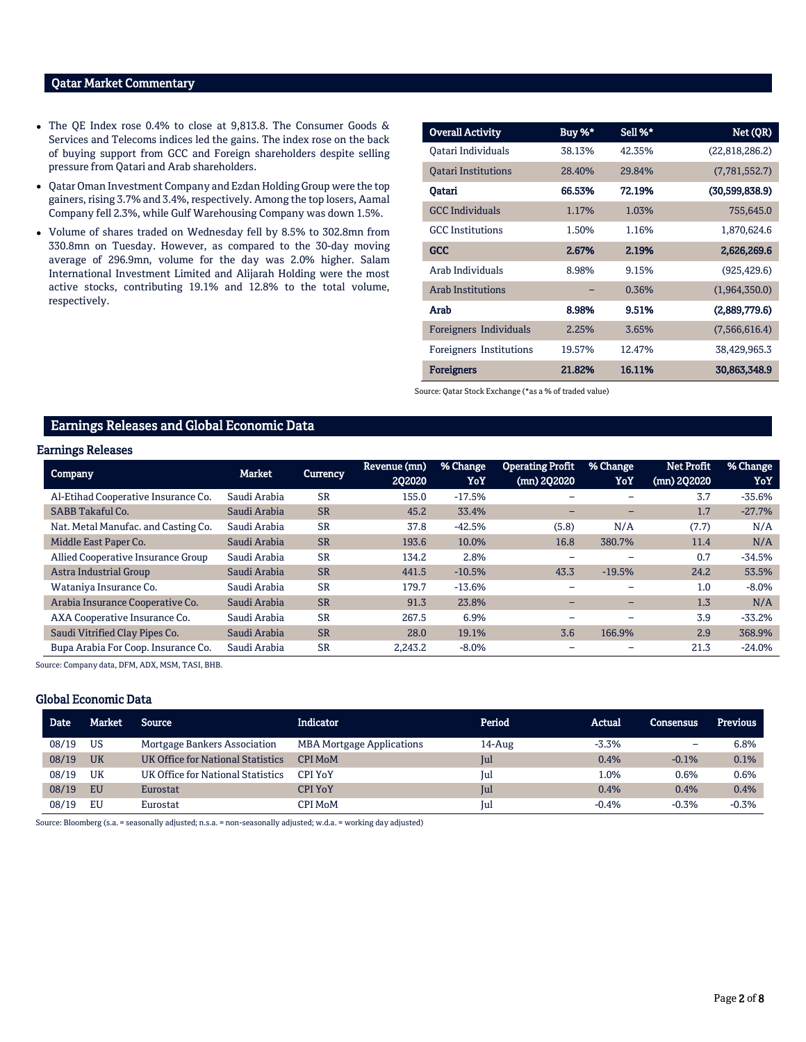## Qatar Market Commentary

- The QE Index rose 0.4% to close at 9,813.8. The Consumer Goods & Services and Telecoms indices led the gains. The index rose on the back of buying support from GCC and Foreign shareholders despite selling pressure from Qatari and Arab shareholders.
- Qatar Oman Investment Company and Ezdan Holding Group were the top gainers, rising 3.7% and 3.4%, respectively. Among the top losers, Aamal Company fell 2.3%, while Gulf Warehousing Company was down 1.5%.
- Volume of shares traded on Wednesday fell by 8.5% to 302.8mn from 330.8mn on Tuesday. However, as compared to the 30-day moving average of 296.9mn, volume for the day was 2.0% higher. Salam International Investment Limited and Alijarah Holding were the most active stocks, contributing 19.1% and 12.8% to the total volume, respectively.

| <b>Overall Activity</b>    | Buy %* | Sell %* | Net (QR)       |
|----------------------------|--------|---------|----------------|
| Oatari Individuals         | 38.13% | 42.35%  | (22,818,286.2) |
| <b>Oatari Institutions</b> | 28.40% | 29.84%  | (7,781,552.7)  |
| Oatari                     | 66.53% | 72.19%  | (30,599,838.9) |
| <b>GCC</b> Individuals     | 1.17%  | 1.03%   | 755,645.0      |
| <b>GCC</b> Institutions    | 1.50%  | 1.16%   | 1,870,624.6    |
| GCC                        | 2.67%  | 2.19%   | 2,626,269.6    |
| Arab Individuals           | 8.98%  | 9.15%   | (925, 429.6)   |
| <b>Arab Institutions</b>   |        | 0.36%   | (1,964,350.0)  |
| Arab                       | 8.98%  | 9.51%   | (2,889,779.6)  |
| Foreigners Individuals     | 2.25%  | 3.65%   | (7,566,616.4)  |
| Foreigners Institutions    | 19.57% | 12.47%  | 38,429,965.3   |
| <b>Foreigners</b>          | 21.82% | 16.11%  | 30,863,348.9   |

Source: Qatar Stock Exchange (\*as a % of traded value)

## Earnings Releases and Global Economic Data

## Earnings Releases

| Company                             | <b>Market</b> | <b>Currency</b> | Revenue (mn)<br>202020 | % Change<br>YoY | <b>Operating Profit</b><br>(mn) 2Q2020 | % Change<br>YoY | <b>Net Profit</b><br>(mn) 2Q2020 | % Change<br>YoY |
|-------------------------------------|---------------|-----------------|------------------------|-----------------|----------------------------------------|-----------------|----------------------------------|-----------------|
| Al-Etihad Cooperative Insurance Co. | Saudi Arabia  | <b>SR</b>       | 155.0                  | $-17.5%$        |                                        |                 | 3.7                              | $-35.6%$        |
| <b>SABB Takaful Co.</b>             | Saudi Arabia  | <b>SR</b>       | 45.2                   | 33.4%           |                                        |                 | 1.7                              | $-27.7%$        |
| Nat. Metal Manufac. and Casting Co. | Saudi Arabia  | <b>SR</b>       | 37.8                   | $-42.5%$        | (5.8)                                  | N/A             | (7.7)                            | N/A             |
| Middle East Paper Co.               | Saudi Arabia  | <b>SR</b>       | 193.6                  | 10.0%           | 16.8                                   | 380.7%          | 11.4                             | N/A             |
| Allied Cooperative Insurance Group  | Saudi Arabia  | <b>SR</b>       | 134.2                  | 2.8%            |                                        |                 | 0.7                              | $-34.5%$        |
| Astra Industrial Group              | Saudi Arabia  | <b>SR</b>       | 441.5                  | $-10.5%$        | 43.3                                   | $-19.5%$        | 24.2                             | 53.5%           |
| Wataniya Insurance Co.              | Saudi Arabia  | <b>SR</b>       | 179.7                  | $-13.6%$        |                                        |                 | 1.0                              | $-8.0\%$        |
| Arabia Insurance Cooperative Co.    | Saudi Arabia  | <b>SR</b>       | 91.3                   | 23.8%           |                                        | -               | 1.3                              | N/A             |
| AXA Cooperative Insurance Co.       | Saudi Arabia  | <b>SR</b>       | 267.5                  | 6.9%            | -                                      |                 | 3.9                              | $-33.2%$        |
| Saudi Vitrified Clay Pipes Co.      | Saudi Arabia  | <b>SR</b>       | 28.0                   | 19.1%           | 3.6                                    | 166.9%          | 2.9                              | 368.9%          |
| Bupa Arabia For Coop. Insurance Co. | Saudi Arabia  | <b>SR</b>       | 2.243.2                | $-8.0\%$        |                                        |                 | 21.3                             | $-24.0%$        |

Source: Company data, DFM, ADX, MSM, TASI, BHB.

## Global Economic Data

| Date  | Market    | <b>Source</b>                     | <b>Indicator</b>                 | Period    | Actual  | Consensus         | <b>Previous</b> |
|-------|-----------|-----------------------------------|----------------------------------|-----------|---------|-------------------|-----------------|
| 08/19 | <b>US</b> | Mortgage Bankers Association      | <b>MBA Mortgage Applications</b> | $14$ -Aug | $-3.3%$ | $\qquad \qquad -$ | 6.8%            |
| 08/19 | UK        | UK Office for National Statistics | <b>CPI MoM</b>                   | Jul       | 0.4%    | $-0.1%$           | 0.1%            |
| 08/19 | UK        | UK Office for National Statistics | <b>CPI YoY</b>                   | Jul       | L.0%    | 0.6%              | 0.6%            |
| 08/19 | <b>EU</b> | Eurostat                          | <b>CPI YoY</b>                   | Jul       | 0.4%    | 0.4%              | 0.4%            |
| 08/19 | EU        | Eurostat                          | CPI MoM                          | Jul       | $-0.4%$ | $-0.3%$           | $-0.3%$         |

Source: Bloomberg (s.a. = seasonally adjusted; n.s.a. = non-seasonally adjusted; w.d.a. = working day adjusted)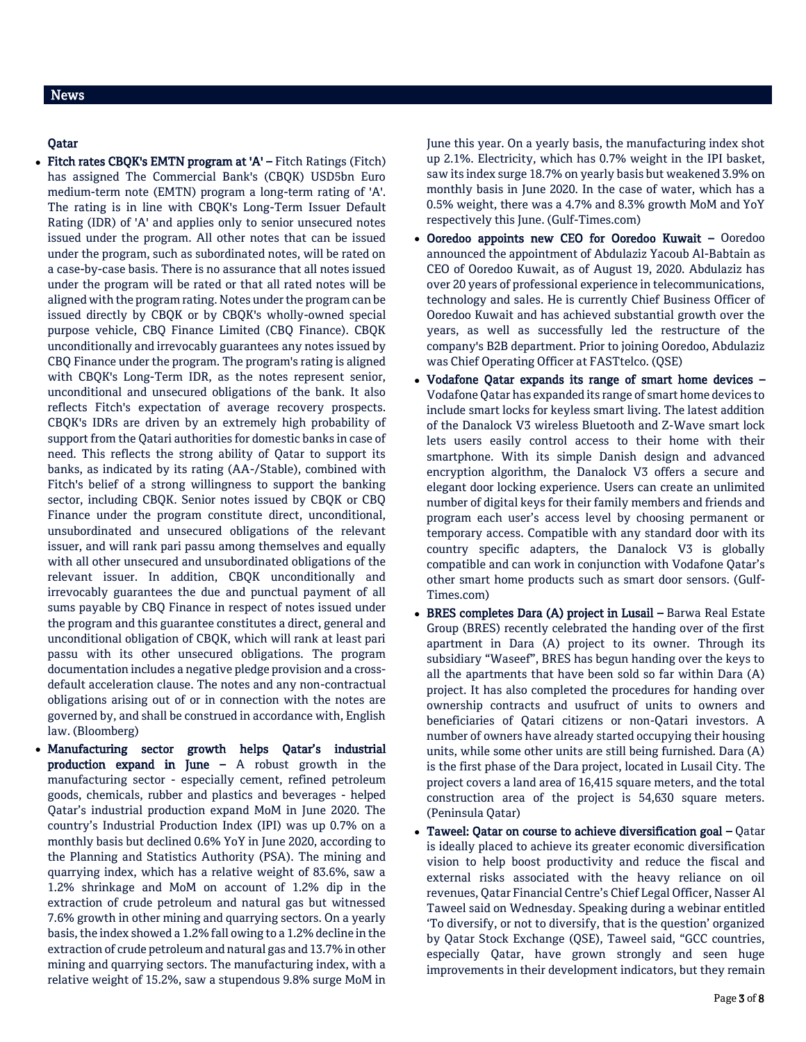## News

## Qatar

- Fitch rates CBQK's EMTN program at 'A' Fitch Ratings (Fitch) has assigned The Commercial Bank's (CBQK) USD5bn Euro medium-term note (EMTN) program a long-term rating of 'A'. The rating is in line with CBQK's Long-Term Issuer Default Rating (IDR) of 'A' and applies only to senior unsecured notes issued under the program. All other notes that can be issued under the program, such as subordinated notes, will be rated on a case-by-case basis. There is no assurance that all notes issued under the program will be rated or that all rated notes will be aligned with the program rating. Notes under the program can be issued directly by CBQK or by CBQK's wholly-owned special purpose vehicle, CBQ Finance Limited (CBQ Finance). CBQK unconditionally and irrevocably guarantees any notes issued by CBQ Finance under the program. The program's rating is aligned with CBQK's Long-Term IDR, as the notes represent senior, unconditional and unsecured obligations of the bank. It also reflects Fitch's expectation of average recovery prospects. CBQK's IDRs are driven by an extremely high probability of support from the Qatari authorities for domestic banks in case of need. This reflects the strong ability of Qatar to support its banks, as indicated by its rating (AA-/Stable), combined with Fitch's belief of a strong willingness to support the banking sector, including CBQK. Senior notes issued by CBQK or CBQ Finance under the program constitute direct, unconditional, unsubordinated and unsecured obligations of the relevant issuer, and will rank pari passu among themselves and equally with all other unsecured and unsubordinated obligations of the relevant issuer. In addition, CBQK unconditionally and irrevocably guarantees the due and punctual payment of all sums payable by CBQ Finance in respect of notes issued under the program and this guarantee constitutes a direct, general and unconditional obligation of CBQK, which will rank at least pari passu with its other unsecured obligations. The program documentation includes a negative pledge provision and a crossdefault acceleration clause. The notes and any non-contractual obligations arising out of or in connection with the notes are governed by, and shall be construed in accordance with, English law. (Bloomberg)
- Manufacturing sector growth helps Qatar's industrial production expand in June – A robust growth in the manufacturing sector - especially cement, refined petroleum goods, chemicals, rubber and plastics and beverages - helped Qatar's industrial production expand MoM in June 2020. The country's Industrial Production Index (IPI) was up 0.7% on a monthly basis but declined 0.6% YoY in June 2020, according to the Planning and Statistics Authority (PSA). The mining and quarrying index, which has a relative weight of 83.6%, saw a 1.2% shrinkage and MoM on account of 1.2% dip in the extraction of crude petroleum and natural gas but witnessed 7.6% growth in other mining and quarrying sectors. On a yearly basis, the index showed a 1.2% fall owing to a 1.2% decline in the extraction of crude petroleum and natural gas and 13.7% in other mining and quarrying sectors. The manufacturing index, with a relative weight of 15.2%, saw a stupendous 9.8% surge MoM in

June this year. On a yearly basis, the manufacturing index shot up 2.1%. Electricity, which has 0.7% weight in the IPI basket, saw its index surge 18.7% on yearly basis but weakened 3.9% on monthly basis in June 2020. In the case of water, which has a 0.5% weight, there was a 4.7% and 8.3% growth MoM and YoY respectively this June. (Gulf-Times.com)

- Ooredoo appoints new CEO for Ooredoo Kuwait Ooredoo announced the appointment of Abdulaziz Yacoub Al-Babtain as CEO of Ooredoo Kuwait, as of August 19, 2020. Abdulaziz has over 20 years of professional experience in telecommunications, technology and sales. He is currently Chief Business Officer of Ooredoo Kuwait and has achieved substantial growth over the years, as well as successfully led the restructure of the company's B2B department. Prior to joining Ooredoo, Abdulaziz was Chief Operating Officer at FASTtelco. (QSE)
- Vodafone Qatar expands its range of smart home devices Vodafone Qatar has expanded its range of smart home devices to include smart locks for keyless smart living. The latest addition of the Danalock V3 wireless Bluetooth and Z-Wave smart lock lets users easily control access to their home with their smartphone. With its simple Danish design and advanced encryption algorithm, the Danalock V3 offers a secure and elegant door locking experience. Users can create an unlimited number of digital keys for their family members and friends and program each user's access level by choosing permanent or temporary access. Compatible with any standard door with its country specific adapters, the Danalock V3 is globally compatible and can work in conjunction with Vodafone Qatar's other smart home products such as smart door sensors. (Gulf-Times.com)
- BRES completes Dara (A) project in Lusail Barwa Real Estate Group (BRES) recently celebrated the handing over of the first apartment in Dara (A) project to its owner. Through its subsidiary "Waseef", BRES has begun handing over the keys to all the apartments that have been sold so far within Dara (A) project. It has also completed the procedures for handing over ownership contracts and usufruct of units to owners and beneficiaries of Qatari citizens or non-Qatari investors. A number of owners have already started occupying their housing units, while some other units are still being furnished. Dara (A) is the first phase of the Dara project, located in Lusail City. The project covers a land area of 16,415 square meters, and the total construction area of the project is 54,630 square meters. (Peninsula Qatar)
- Taweel: Qatar on course to achieve diversification goal Qatar is ideally placed to achieve its greater economic diversification vision to help boost productivity and reduce the fiscal and external risks associated with the heavy reliance on oil revenues, Qatar Financial Centre's Chief Legal Officer, Nasser Al Taweel said on Wednesday. Speaking during a webinar entitled 'To diversify, or not to diversify, that is the question' organized by Qatar Stock Exchange (QSE), Taweel said, "GCC countries, especially Qatar, have grown strongly and seen huge improvements in their development indicators, but they remain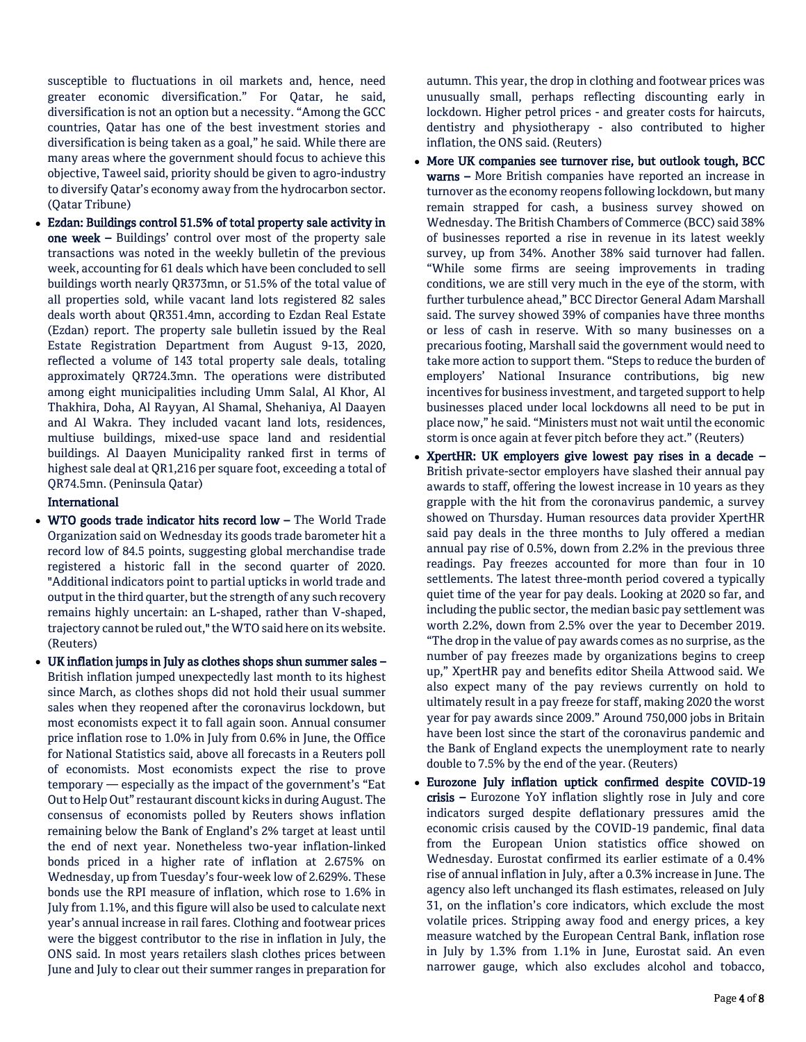susceptible to fluctuations in oil markets and, hence, need greater economic diversification." For Qatar, he said, diversification is not an option but a necessity. "Among the GCC countries, Qatar has one of the best investment stories and diversification is being taken as a goal," he said. While there are many areas where the government should focus to achieve this objective, Taweel said, priority should be given to agro-industry to diversify Qatar's economy away from the hydrocarbon sector. (Qatar Tribune)

 Ezdan: Buildings control 51.5% of total property sale activity in one week – Buildings' control over most of the property sale transactions was noted in the weekly bulletin of the previous week, accounting for 61 deals which have been concluded to sell buildings worth nearly QR373mn, or 51.5% of the total value of all properties sold, while vacant land lots registered 82 sales deals worth about QR351.4mn, according to Ezdan Real Estate (Ezdan) report. The property sale bulletin issued by the Real Estate Registration Department from August 9-13, 2020, reflected a volume of 143 total property sale deals, totaling approximately QR724.3mn. The operations were distributed among eight municipalities including Umm Salal, Al Khor, Al Thakhira, Doha, Al Rayyan, Al Shamal, Shehaniya, Al Daayen and Al Wakra. They included vacant land lots, residences, multiuse buildings, mixed-use space land and residential buildings. Al Daayen Municipality ranked first in terms of highest sale deal at QR1,216 per square foot, exceeding a total of QR74.5mn. (Peninsula Qatar)

## International

- WTO goods trade indicator hits record low The World Trade Organization said on Wednesday its goods trade barometer hit a record low of 84.5 points, suggesting global merchandise trade registered a historic fall in the second quarter of 2020. "Additional indicators point to partial upticks in world trade and output in the third quarter, but the strength of any such recovery remains highly uncertain: an L-shaped, rather than V-shaped, trajectory cannot be ruled out," the WTO said here on its website. (Reuters)
- UK inflation jumps in July as clothes shops shun summer sales British inflation jumped unexpectedly last month to its highest since March, as clothes shops did not hold their usual summer sales when they reopened after the coronavirus lockdown, but most economists expect it to fall again soon. Annual consumer price inflation rose to 1.0% in July from 0.6% in June, the Office for National Statistics said, above all forecasts in a Reuters poll of economists. Most economists expect the rise to prove temporary — especially as the impact of the government's "Eat Out to Help Out" restaurant discount kicks in during August. The consensus of economists polled by Reuters shows inflation remaining below the Bank of England's 2% target at least until the end of next year. Nonetheless two-year inflation-linked bonds priced in a higher rate of inflation at 2.675% on Wednesday, up from Tuesday's four-week low of 2.629%. These bonds use the RPI measure of inflation, which rose to 1.6% in July from 1.1%, and this figure will also be used to calculate next year's annual increase in rail fares. Clothing and footwear prices were the biggest contributor to the rise in inflation in July, the ONS said. In most years retailers slash clothes prices between June and July to clear out their summer ranges in preparation for

autumn. This year, the drop in clothing and footwear prices was unusually small, perhaps reflecting discounting early in lockdown. Higher petrol prices - and greater costs for haircuts, dentistry and physiotherapy - also contributed to higher inflation, the ONS said. (Reuters)

- More UK companies see turnover rise, but outlook tough, BCC warns – More British companies have reported an increase in turnover as the economy reopens following lockdown, but many remain strapped for cash, a business survey showed on Wednesday. The British Chambers of Commerce (BCC) said 38% of businesses reported a rise in revenue in its latest weekly survey, up from 34%. Another 38% said turnover had fallen. "While some firms are seeing improvements in trading conditions, we are still very much in the eye of the storm, with further turbulence ahead," BCC Director General Adam Marshall said. The survey showed 39% of companies have three months or less of cash in reserve. With so many businesses on a precarious footing, Marshall said the government would need to take more action to support them. "Steps to reduce the burden of employers' National Insurance contributions, big new incentives for business investment, and targeted support to help businesses placed under local lockdowns all need to be put in place now," he said. "Ministers must not wait until the economic storm is once again at fever pitch before they act." (Reuters)
- XpertHR: UK employers give lowest pay rises in a decade British private-sector employers have slashed their annual pay awards to staff, offering the lowest increase in 10 years as they grapple with the hit from the coronavirus pandemic, a survey showed on Thursday. Human resources data provider XpertHR said pay deals in the three months to July offered a median annual pay rise of 0.5%, down from 2.2% in the previous three readings. Pay freezes accounted for more than four in 10 settlements. The latest three-month period covered a typically quiet time of the year for pay deals. Looking at 2020 so far, and including the public sector, the median basic pay settlement was worth 2.2%, down from 2.5% over the year to December 2019. "The drop in the value of pay awards comes as no surprise, as the number of pay freezes made by organizations begins to creep up," XpertHR pay and benefits editor Sheila Attwood said. We also expect many of the pay reviews currently on hold to ultimately result in a pay freeze for staff, making 2020 the worst year for pay awards since 2009." Around 750,000 jobs in Britain have been lost since the start of the coronavirus pandemic and the Bank of England expects the unemployment rate to nearly double to 7.5% by the end of the year. (Reuters)
- Eurozone July inflation uptick confirmed despite COVID-19 crisis – Eurozone YoY inflation slightly rose in July and core indicators surged despite deflationary pressures amid the economic crisis caused by the COVID-19 pandemic, final data from the European Union statistics office showed on Wednesday. Eurostat confirmed its earlier estimate of a 0.4% rise of annual inflation in July, after a 0.3% increase in June. The agency also left unchanged its flash estimates, released on July 31, on the inflation's core indicators, which exclude the most volatile prices. Stripping away food and energy prices, a key measure watched by the European Central Bank, inflation rose in July by 1.3% from 1.1% in June, Eurostat said. An even narrower gauge, which also excludes alcohol and tobacco,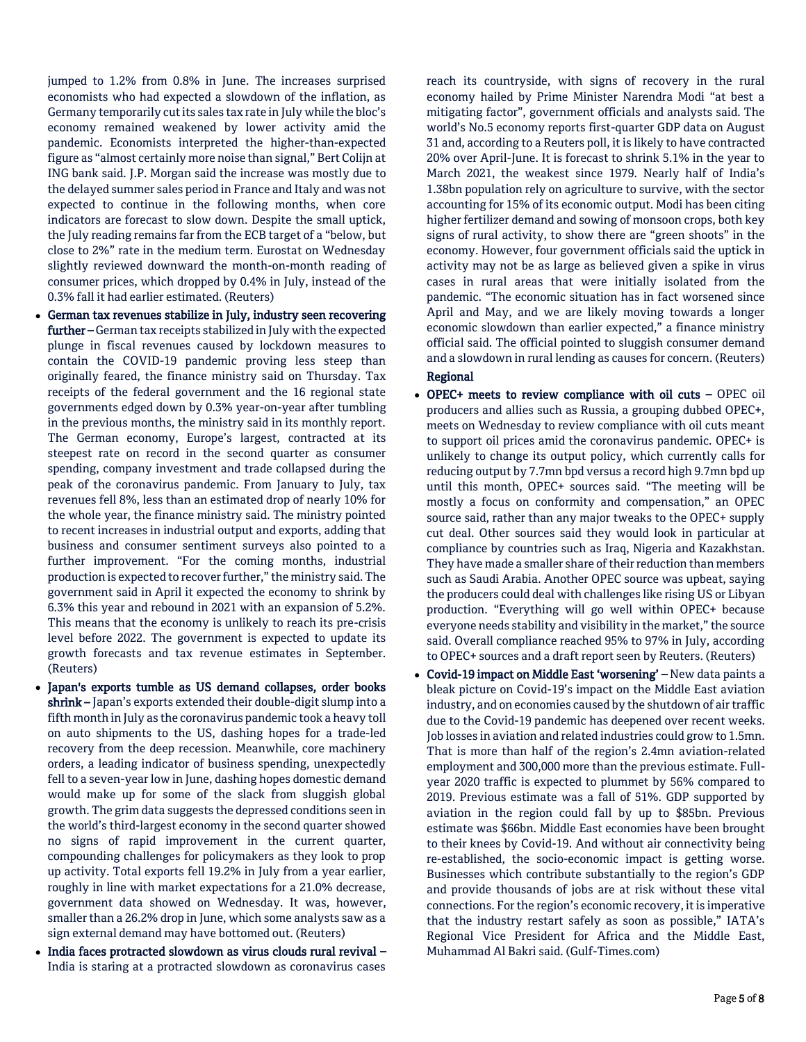jumped to 1.2% from 0.8% in June. The increases surprised economists who had expected a slowdown of the inflation, as Germany temporarily cut its sales tax rate in July while the bloc's economy remained weakened by lower activity amid the pandemic. Economists interpreted the higher-than-expected figure as "almost certainly more noise than signal," Bert Colijn at ING bank said. J.P. Morgan said the increase was mostly due to the delayed summer sales period in France and Italy and was not expected to continue in the following months, when core indicators are forecast to slow down. Despite the small uptick, the July reading remains far from the ECB target of a "below, but close to 2%" rate in the medium term. Eurostat on Wednesday slightly reviewed downward the month-on-month reading of consumer prices, which dropped by 0.4% in July, instead of the 0.3% fall it had earlier estimated. (Reuters)

- German tax revenues stabilize in July, industry seen recovering further –German tax receipts stabilized in July with the expected plunge in fiscal revenues caused by lockdown measures to contain the COVID-19 pandemic proving less steep than originally feared, the finance ministry said on Thursday. Tax receipts of the federal government and the 16 regional state governments edged down by 0.3% year-on-year after tumbling in the previous months, the ministry said in its monthly report. The German economy, Europe's largest, contracted at its steepest rate on record in the second quarter as consumer spending, company investment and trade collapsed during the peak of the coronavirus pandemic. From January to July, tax revenues fell 8%, less than an estimated drop of nearly 10% for the whole year, the finance ministry said. The ministry pointed to recent increases in industrial output and exports, adding that business and consumer sentiment surveys also pointed to a further improvement. "For the coming months, industrial production is expected to recover further," the ministry said. The government said in April it expected the economy to shrink by 6.3% this year and rebound in 2021 with an expansion of 5.2%. This means that the economy is unlikely to reach its pre-crisis level before 2022. The government is expected to update its growth forecasts and tax revenue estimates in September. (Reuters)
- Japan's exports tumble as US demand collapses, order books shrink - Japan's exports extended their double-digit slump into a fifth month in July as the coronavirus pandemic took a heavy toll on auto shipments to the US, dashing hopes for a trade-led recovery from the deep recession. Meanwhile, core machinery orders, a leading indicator of business spending, unexpectedly fell to a seven-year low in June, dashing hopes domestic demand would make up for some of the slack from sluggish global growth. The grim data suggests the depressed conditions seen in the world's third-largest economy in the second quarter showed no signs of rapid improvement in the current quarter, compounding challenges for policymakers as they look to prop up activity. Total exports fell 19.2% in July from a year earlier, roughly in line with market expectations for a 21.0% decrease, government data showed on Wednesday. It was, however, smaller than a 26.2% drop in June, which some analysts saw as a sign external demand may have bottomed out. (Reuters)
- India faces protracted slowdown as virus clouds rural revival India is staring at a protracted slowdown as coronavirus cases

reach its countryside, with signs of recovery in the rural economy hailed by Prime Minister Narendra Modi "at best a mitigating factor", government officials and analysts said. The world's No.5 economy reports first-quarter GDP data on August 31 and, according to a Reuters poll, it is likely to have contracted 20% over April-June. It is forecast to shrink 5.1% in the year to March 2021, the weakest since 1979. Nearly half of India's 1.38bn population rely on agriculture to survive, with the sector accounting for 15% of its economic output. Modi has been citing higher fertilizer demand and sowing of monsoon crops, both key signs of rural activity, to show there are "green shoots" in the economy. However, four government officials said the uptick in activity may not be as large as believed given a spike in virus cases in rural areas that were initially isolated from the pandemic. "The economic situation has in fact worsened since April and May, and we are likely moving towards a longer economic slowdown than earlier expected," a finance ministry official said. The official pointed to sluggish consumer demand and a slowdown in rural lending as causes for concern. (Reuters) Regional

- OPEC+ meets to review compliance with oil cuts OPEC oil producers and allies such as Russia, a grouping dubbed OPEC+, meets on Wednesday to review compliance with oil cuts meant to support oil prices amid the coronavirus pandemic. OPEC+ is unlikely to change its output policy, which currently calls for reducing output by 7.7mn bpd versus a record high 9.7mn bpd up until this month, OPEC+ sources said. "The meeting will be mostly a focus on conformity and compensation," an OPEC source said, rather than any major tweaks to the OPEC+ supply cut deal. Other sources said they would look in particular at compliance by countries such as Iraq, Nigeria and Kazakhstan. They have made a smaller share of their reduction than members such as Saudi Arabia. Another OPEC source was upbeat, saying the producers could deal with challenges like rising US or Libyan production. "Everything will go well within OPEC+ because everyone needs stability and visibility in the market," the source said. Overall compliance reached 95% to 97% in July, according to OPEC+ sources and a draft report seen by Reuters. (Reuters)
- Covid-19 impact on Middle East 'worsening' New data paints a bleak picture on Covid-19's impact on the Middle East aviation industry, and on economies caused by the shutdown of air traffic due to the Covid-19 pandemic has deepened over recent weeks. Job losses in aviation and related industries could grow to 1.5mn. That is more than half of the region's 2.4mn aviation-related employment and 300,000 more than the previous estimate. Fullyear 2020 traffic is expected to plummet by 56% compared to 2019. Previous estimate was a fall of 51%. GDP supported by aviation in the region could fall by up to \$85bn. Previous estimate was \$66bn. Middle East economies have been brought to their knees by Covid-19. And without air connectivity being re-established, the socio-economic impact is getting worse. Businesses which contribute substantially to the region's GDP and provide thousands of jobs are at risk without these vital connections. For the region's economic recovery, it is imperative that the industry restart safely as soon as possible," IATA's Regional Vice President for Africa and the Middle East, Muhammad Al Bakri said. (Gulf-Times.com)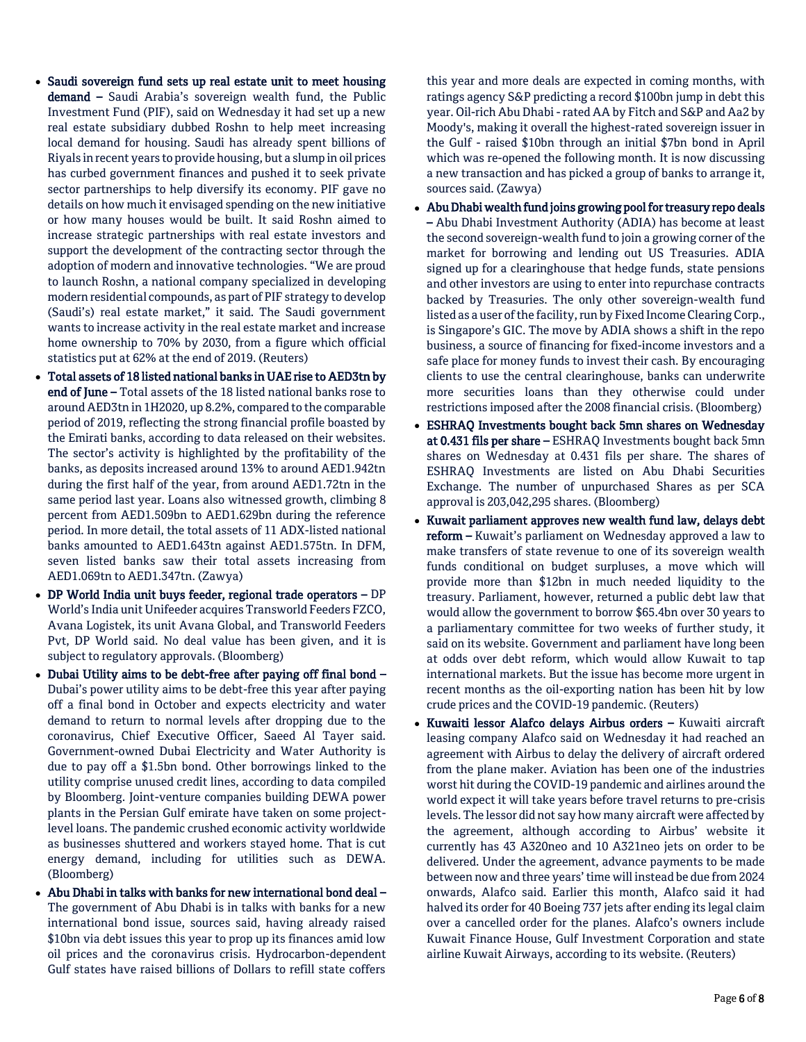- Saudi sovereign fund sets up real estate unit to meet housing demand – Saudi Arabia's sovereign wealth fund, the Public Investment Fund (PIF), said on Wednesday it had set up a new real estate subsidiary dubbed Roshn to help meet increasing local demand for housing. Saudi has already spent billions of Riyals in recent years to provide housing, but a slump in oil prices has curbed government finances and pushed it to seek private sector partnerships to help diversify its economy. PIF gave no details on how much it envisaged spending on the new initiative or how many houses would be built. It said Roshn aimed to increase strategic partnerships with real estate investors and support the development of the contracting sector through the adoption of modern and innovative technologies. "We are proud to launch Roshn, a national company specialized in developing modern residential compounds, as part of PIF strategy to develop (Saudi's) real estate market," it said. The Saudi government wants to increase activity in the real estate market and increase home ownership to 70% by 2030, from a figure which official statistics put at 62% at the end of 2019. (Reuters)
- Total assets of 18 listed national banks in UAE rise to AED3tn by end of June – Total assets of the 18 listed national banks rose to around AED3tn in 1H2020, up 8.2%, compared to the comparable period of 2019, reflecting the strong financial profile boasted by the Emirati banks, according to data released on their websites. The sector's activity is highlighted by the profitability of the banks, as deposits increased around 13% to around AED1.942tn during the first half of the year, from around AED1.72tn in the same period last year. Loans also witnessed growth, climbing 8 percent from AED1.509bn to AED1.629bn during the reference period. In more detail, the total assets of 11 ADX-listed national banks amounted to AED1.643tn against AED1.575tn. In DFM, seven listed banks saw their total assets increasing from AED1.069tn to AED1.347tn. (Zawya)
- DP World India unit buys feeder, regional trade operators DP World's India unit Unifeeder acquires Transworld Feeders FZCO, Avana Logistek, its unit Avana Global, and Transworld Feeders Pvt, DP World said. No deal value has been given, and it is subject to regulatory approvals. (Bloomberg)
- Dubai Utility aims to be debt-free after paying off final bond Dubai's power utility aims to be debt-free this year after paying off a final bond in October and expects electricity and water demand to return to normal levels after dropping due to the coronavirus, Chief Executive Officer, Saeed Al Tayer said. Government-owned Dubai Electricity and Water Authority is due to pay off a \$1.5bn bond. Other borrowings linked to the utility comprise unused credit lines, according to data compiled by Bloomberg. Joint-venture companies building DEWA power plants in the Persian Gulf emirate have taken on some projectlevel loans. The pandemic crushed economic activity worldwide as businesses shuttered and workers stayed home. That is cut energy demand, including for utilities such as DEWA. (Bloomberg)
- Abu Dhabi in talks with banks for new international bond deal The government of Abu Dhabi is in talks with banks for a new international bond issue, sources said, having already raised \$10bn via debt issues this year to prop up its finances amid low oil prices and the coronavirus crisis. Hydrocarbon-dependent Gulf states have raised billions of Dollars to refill state coffers

this year and more deals are expected in coming months, with ratings agency S&P predicting a record \$100bn jump in debt this year. Oil-rich Abu Dhabi - rated AA by Fitch and S&P and Aa2 by Moody's, making it overall the highest-rated sovereign issuer in the Gulf - raised \$10bn through an initial \$7bn bond in April which was re-opened the following month. It is now discussing a new transaction and has picked a group of banks to arrange it, sources said. (Zawya)

- Abu Dhabi wealth fund joins growing pool for treasury repo deals – Abu Dhabi Investment Authority (ADIA) has become at least the second sovereign-wealth fund to join a growing corner of the market for borrowing and lending out US Treasuries. ADIA signed up for a clearinghouse that hedge funds, state pensions and other investors are using to enter into repurchase contracts backed by Treasuries. The only other sovereign-wealth fund listed as a user of the facility, run by Fixed Income Clearing Corp., is Singapore's GIC. The move by ADIA shows a shift in the repo business, a source of financing for fixed-income investors and a safe place for money funds to invest their cash. By encouraging clients to use the central clearinghouse, banks can underwrite more securities loans than they otherwise could under restrictions imposed after the 2008 financial crisis. (Bloomberg)
- ESHRAQ Investments bought back 5mn shares on Wednesday at 0.431 fils per share – ESHRAQ Investments bought back 5mn shares on Wednesday at 0.431 fils per share. The shares of ESHRAQ Investments are listed on Abu Dhabi Securities Exchange. The number of unpurchased Shares as per SCA approval is 203,042,295 shares. (Bloomberg)
- Kuwait parliament approves new wealth fund law, delays debt reform - Kuwait's parliament on Wednesday approved a law to make transfers of state revenue to one of its sovereign wealth funds conditional on budget surpluses, a move which will provide more than \$12bn in much needed liquidity to the treasury. Parliament, however, returned a public debt law that would allow the government to borrow \$65.4bn over 30 years to a parliamentary committee for two weeks of further study, it said on its website. Government and parliament have long been at odds over debt reform, which would allow Kuwait to tap international markets. But the issue has become more urgent in recent months as the oil-exporting nation has been hit by low crude prices and the COVID-19 pandemic. (Reuters)
- Kuwaiti lessor Alafco delays Airbus orders Kuwaiti aircraft leasing company Alafco said on Wednesday it had reached an agreement with Airbus to delay the delivery of aircraft ordered from the plane maker. Aviation has been one of the industries worst hit during the COVID-19 pandemic and airlines around the world expect it will take years before travel returns to pre-crisis levels. The lessor did not say how many aircraft were affected by the agreement, although according to Airbus' website it currently has 43 A320neo and 10 A321neo jets on order to be delivered. Under the agreement, advance payments to be made between now and three years' time will instead be due from 2024 onwards, Alafco said. Earlier this month, Alafco said it had halved its order for 40 Boeing 737 jets after ending its legal claim over a cancelled order for the planes. Alafco's owners include Kuwait Finance House, Gulf Investment Corporation and state airline Kuwait Airways, according to its website. (Reuters)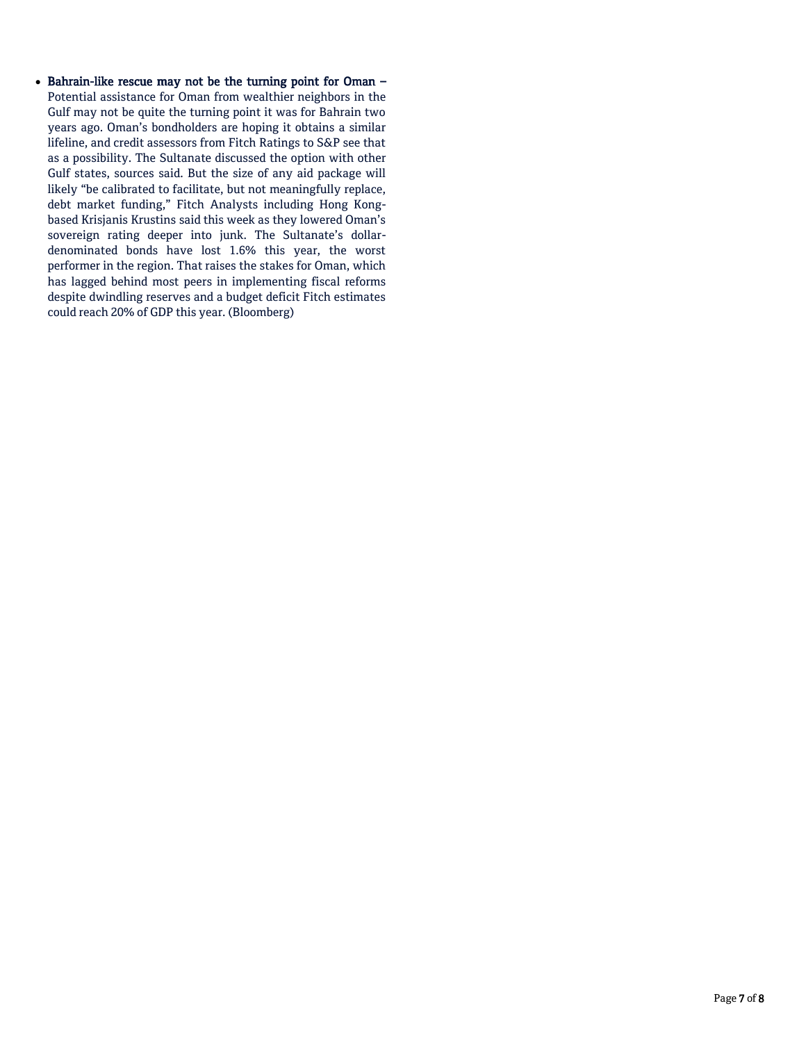Bahrain-like rescue may not be the turning point for Oman – Potential assistance for Oman from wealthier neighbors in the Gulf may not be quite the turning point it was for Bahrain two years ago. Oman's bondholders are hoping it obtains a similar lifeline, and credit assessors from Fitch Ratings to S&P see that as a possibility. The Sultanate discussed the option with other Gulf states, sources said. But the size of any aid package will likely "be calibrated to facilitate, but not meaningfully replace, debt market funding," Fitch Analysts including Hong Kongbased Krisjanis Krustins said this week as they lowered Oman's sovereign rating deeper into junk. The Sultanate's dollardenominated bonds have lost 1.6% this year, the worst performer in the region. That raises the stakes for Oman, which has lagged behind most peers in implementing fiscal reforms despite dwindling reserves and a budget deficit Fitch estimates could reach 20% of GDP this year. (Bloomberg)